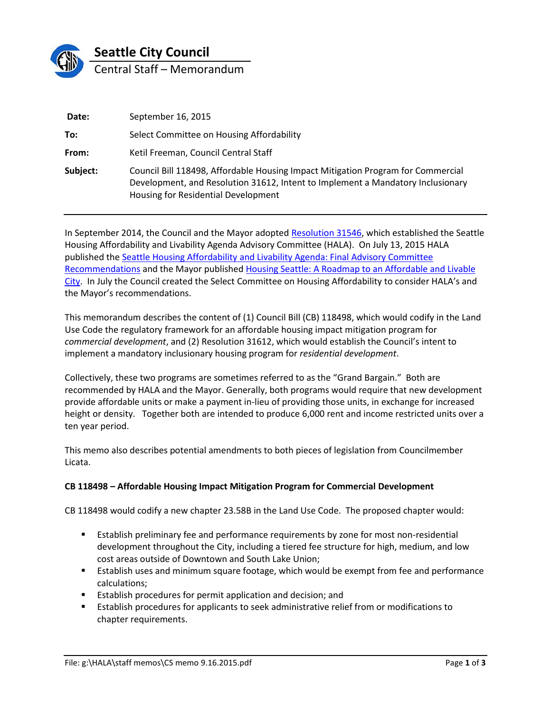

| Date:    | September 16, 2015                                                                                                                                                                                         |  |
|----------|------------------------------------------------------------------------------------------------------------------------------------------------------------------------------------------------------------|--|
| To:      | Select Committee on Housing Affordability                                                                                                                                                                  |  |
| From:    | Ketil Freeman, Council Central Staff                                                                                                                                                                       |  |
| Subject: | Council Bill 118498, Affordable Housing Impact Mitigation Program for Commercial<br>Development, and Resolution 31612, Intent to Implement a Mandatory Inclusionary<br>Housing for Residential Development |  |

In September 2014, the Council and the Mayor adopted [Resolution 31546,](http://clerk.ci.seattle.wa.us/~scripts/nph-brs.exe?s1=housing+affordability&s3=&s2=&s4=&Sect4=AND&l=200&Sect2=THESON&Sect3=PLURON&Sect5=RESNY&Sect6=HITOFF&d=RESF&p=1&u=%2F%7Epublic%2Fresny.htm&r=1&f=G) which established the Seattle Housing Affordability and Livability Agenda Advisory Committee (HALA). On July 13, 2015 HALA published th[e Seattle Housing Affordability and Livability Agenda: Final Advisory Committee](http://murray.seattle.gov/wp-content/uploads/2015/07/HALA_Report_2015.pdf)  [Recommendations](http://murray.seattle.gov/wp-content/uploads/2015/07/HALA_Report_2015.pdf) and the Mayor published [Housing Seattle: A Roadmap to an Affordable and Livable](http://murray.seattle.gov/wp-content/uploads/2015/07/HALA_ActionPlan_2015.pdf)  [City.](http://murray.seattle.gov/wp-content/uploads/2015/07/HALA_ActionPlan_2015.pdf) In July the Council created the Select Committee on Housing Affordability to consider HALA's and the Mayor's recommendations.

This memorandum describes the content of (1) Council Bill (CB) 118498, which would codify in the Land Use Code the regulatory framework for an affordable housing impact mitigation program for *commercial development*, and (2) Resolution 31612, which would establish the Council's intent to implement a mandatory inclusionary housing program for *residential development*.

Collectively, these two programs are sometimes referred to as the "Grand Bargain." Both are recommended by HALA and the Mayor. Generally, both programs would require that new development provide affordable units or make a payment in-lieu of providing those units, in exchange for increased height or density. Together both are intended to produce 6,000 rent and income restricted units over a ten year period.

This memo also describes potential amendments to both pieces of legislation from Councilmember Licata.

## **CB 118498 – Affordable Housing Impact Mitigation Program for Commercial Development**

CB 118498 would codify a new chapter 23.58B in the Land Use Code. The proposed chapter would:

- Establish preliminary fee and performance requirements by zone for most non-residential development throughout the City, including a tiered fee structure for high, medium, and low cost areas outside of Downtown and South Lake Union;
- Establish uses and minimum square footage, which would be exempt from fee and performance calculations;
- **EXTER** Establish procedures for permit application and decision; and
- Establish procedures for applicants to seek administrative relief from or modifications to chapter requirements.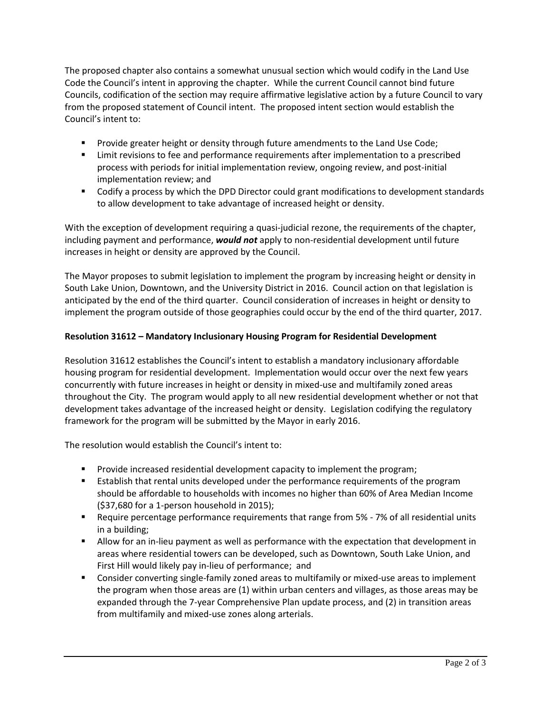The proposed chapter also contains a somewhat unusual section which would codify in the Land Use Code the Council's intent in approving the chapter. While the current Council cannot bind future Councils, codification of the section may require affirmative legislative action by a future Council to vary from the proposed statement of Council intent. The proposed intent section would establish the Council's intent to:

- **Provide greater height or density through future amendments to the Land Use Code;**
- Limit revisions to fee and performance requirements after implementation to a prescribed process with periods for initial implementation review, ongoing review, and post-initial implementation review; and
- Codify a process by which the DPD Director could grant modifications to development standards to allow development to take advantage of increased height or density.

With the exception of development requiring a quasi-judicial rezone, the requirements of the chapter, including payment and performance, *would not* apply to non-residential development until future increases in height or density are approved by the Council.

The Mayor proposes to submit legislation to implement the program by increasing height or density in South Lake Union, Downtown, and the University District in 2016. Council action on that legislation is anticipated by the end of the third quarter. Council consideration of increases in height or density to implement the program outside of those geographies could occur by the end of the third quarter, 2017.

## **Resolution 31612 – Mandatory Inclusionary Housing Program for Residential Development**

Resolution 31612 establishes the Council's intent to establish a mandatory inclusionary affordable housing program for residential development. Implementation would occur over the next few years concurrently with future increases in height or density in mixed-use and multifamily zoned areas throughout the City. The program would apply to all new residential development whether or not that development takes advantage of the increased height or density. Legislation codifying the regulatory framework for the program will be submitted by the Mayor in early 2016.

The resolution would establish the Council's intent to:

- **Provide increased residential development capacity to implement the program;**
- **E** Establish that rental units developed under the performance requirements of the program should be affordable to households with incomes no higher than 60% of Area Median Income (\$37,680 for a 1-person household in 2015);
- **EXECT** Require percentage performance requirements that range from 5% 7% of all residential units in a building;
- Allow for an in-lieu payment as well as performance with the expectation that development in areas where residential towers can be developed, such as Downtown, South Lake Union, and First Hill would likely pay in-lieu of performance; and
- **Consider converting single-family zoned areas to multifamily or mixed-use areas to implement** the program when those areas are (1) within urban centers and villages, as those areas may be expanded through the 7-year Comprehensive Plan update process, and (2) in transition areas from multifamily and mixed-use zones along arterials.